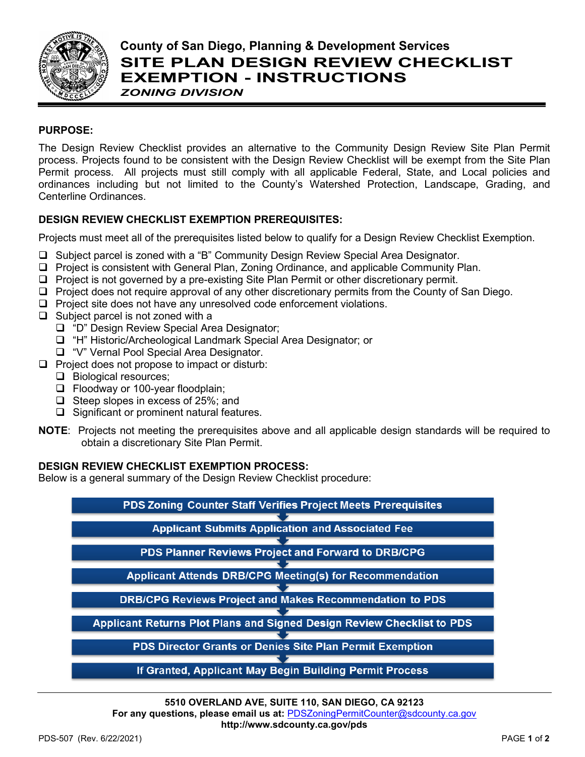

# **County of San Diego, Planning & Development Services SITE PLAN DESIGN REVIEW CHECKLIST EXEMPTION - INSTRUCTIONS** *ZONING DIVISION*

## **PURPOSE:**

The Design Review Checklist provides an alternative to the Community Design Review Site Plan Permit process. Projects found to be consistent with the Design Review Checklist will be exempt from the Site Plan Permit process. All projects must still comply with all applicable Federal, State, and Local policies and ordinances including but not limited to the County's Watershed Protection, Landscape, Grading, and Centerline Ordinances.

## **DESIGN REVIEW CHECKLIST EXEMPTION PREREQUISITES:**

Projects must meet all of the prerequisites listed below to qualify for a Design Review Checklist Exemption.

- Subject parcel is zoned with a "B" Community Design Review Special Area Designator.
- □ Project is consistent with General Plan, Zoning Ordinance, and applicable Community Plan.
- $\Box$  Project is not governed by a pre-existing Site Plan Permit or other discretionary permit.
- $\Box$  Project does not require approval of any other discretionary permits from the County of San Diego.
- $\Box$  Project site does not have any unresolved code enforcement violations.
- $\Box$  Subject parcel is not zoned with a
	- □ "D" Design Review Special Area Designator;
	- □ "H" Historic/Archeological Landmark Special Area Designator; or
	- □ "V" Vernal Pool Special Area Designator.
- $\Box$  Project does not propose to impact or disturb:
	- **Biological resources;**
	- Floodway or 100-year floodplain;
	- $\Box$  Steep slopes in excess of 25%; and
	- $\Box$  Significant or prominent natural features.
- **NOTE**: Projects not meeting the prerequisites above and all applicable design standards will be required to obtain a discretionary Site Plan Permit.

#### **DESIGN REVIEW CHECKLIST EXEMPTION PROCESS:**

Below is a general summary of the Design Review Checklist procedure:

PDS Zoning Counter Staff Verifies Project Meets Prerequisites **Applicant Submits Application and Associated Fee** PDS Planner Reviews Project and Forward to DRB/CPG **Applicant Attends DRB/CPG Meeting(s) for Recommendation DRB/CPG Reviews Project and Makes Recommendation to PDS** Applicant Returns Plot Plans and Signed Design Review Checklist to PDS PDS Director Grants or Denies Site Plan Permit Exemption ┳

If Granted, Applicant May Begin Building Permit Process